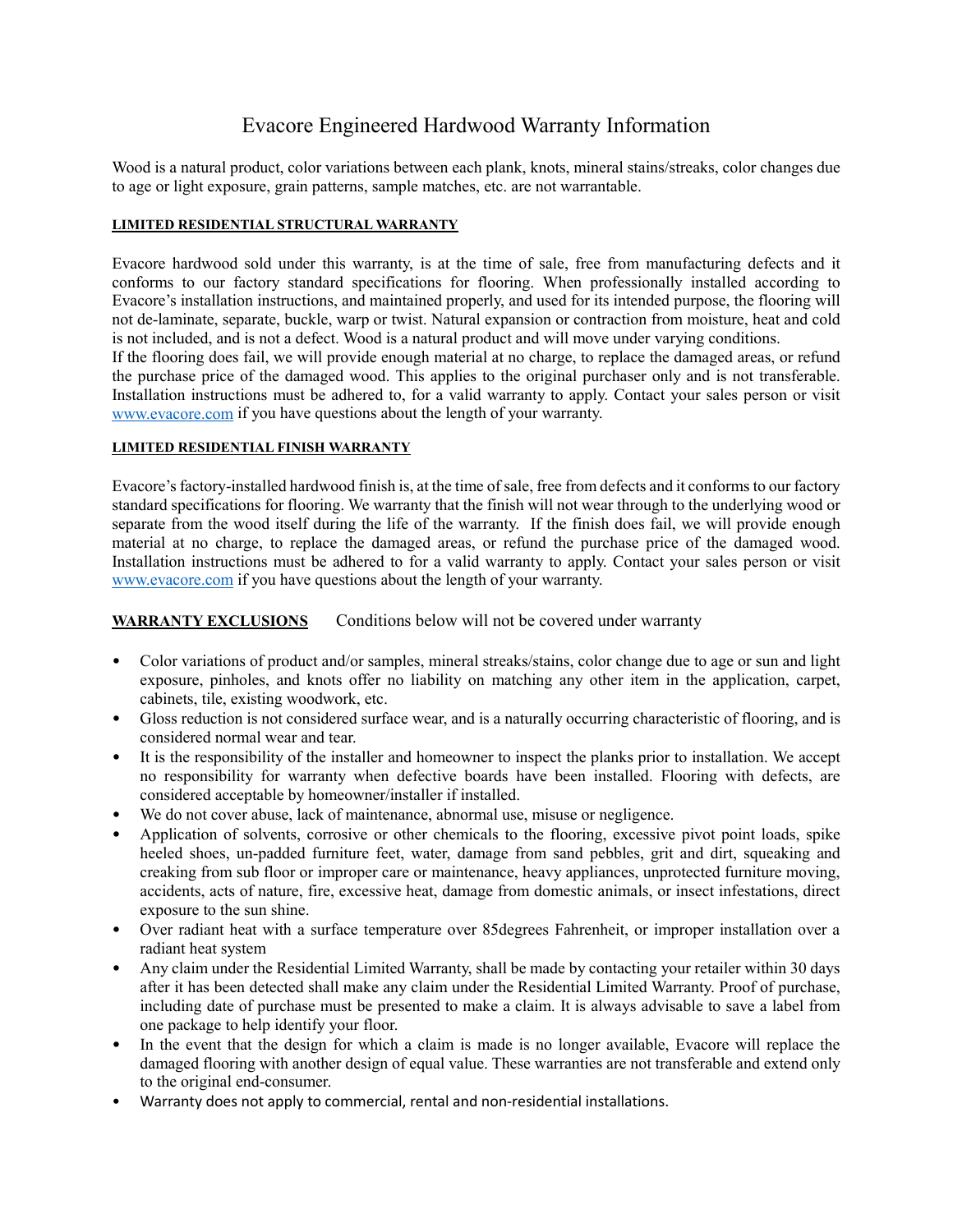## Evacore Engineered Hardwood Warranty Information

Wood is a natural product, color variations between each plank, knots, mineral stains/streaks, color changes due to age or light exposure, grain patterns, sample matches, etc. are not warrantable.

#### **LIMITED RESIDENTIAL STRUCTURAL WARRANTY**

Evacore hardwood sold under this warranty, is at the time of sale, free from manufacturing defects and it conforms to our factory standard specifications for flooring. When professionally installed according to Evacore's installation instructions, and maintained properly, and used for its intended purpose, the flooring will not de-laminate, separate, buckle, warp or twist. Natural expansion or contraction from moisture, heat and cold is not included, and is not a defect. Wood is a natural product and will move under varying conditions.

If the flooring does fail, we will provide enough material at no charge, to replace the damaged areas, or refund the purchase price of the damaged wood. This applies to the original purchaser only and is not transferable. Installation instructions must be adhered to, for a valid warranty to apply. Contact your sales person or visit [www.evacore.com](http://www.evacore.com/) if you have questions about the length of your warranty.

#### **LIMITED RESIDENTIAL FINISH WARRANTY**

Evacore's factory-installed hardwood finish is, at the time of sale, free from defects and it conforms to our factory standard specifications for flooring. We warranty that the finish will not wear through to the underlying wood or separate from the wood itself during the life of the warranty. If the finish does fail, we will provide enough material at no charge, to replace the damaged areas, or refund the purchase price of the damaged wood. Installation instructions must be adhered to for a valid warranty to apply. Contact your sales person or visit [www.evacore.com](http://www.evacore.com/) if you have questions about the length of your warranty.

### **WARRANTY EXCLUSIONS** Conditions below will not be covered under warranty

- Color variations of product and/or samples, mineral streaks/stains, color change due to age or sun and light exposure, pinholes, and knots offer no liability on matching any other item in the application, carpet, cabinets, tile, existing woodwork, etc.
- Gloss reduction is not considered surface wear, and is a naturally occurring characteristic of flooring, and is considered normal wear and tear.
- It is the responsibility of the installer and homeowner to inspect the planks prior to installation. We accept no responsibility for warranty when defective boards have been installed. Flooring with defects, are considered acceptable by homeowner/installer if installed.
- We do not cover abuse, lack of maintenance, abnormal use, misuse or negligence.
- Application of solvents, corrosive or other chemicals to the flooring, excessive pivot point loads, spike heeled shoes, un-padded furniture feet, water, damage from sand pebbles, grit and dirt, squeaking and creaking from sub floor or improper care or maintenance, heavy appliances, unprotected furniture moving, accidents, acts of nature, fire, excessive heat, damage from domestic animals, or insect infestations, direct exposure to the sun shine.
- Over radiant heat with a surface temperature over 85degrees Fahrenheit, or improper installation over a radiant heat system
- Any claim under the Residential Limited Warranty, shall be made by contacting your retailer within 30 days after it has been detected shall make any claim under the Residential Limited Warranty. Proof of purchase, including date of purchase must be presented to make a claim. It is always advisable to save a label from one package to help identify your floor.
- In the event that the design for which a claim is made is no longer available, Evacore will replace the damaged flooring with another design of equal value. These warranties are not transferable and extend only to the original end-consumer.
- Warranty does not apply to commercial, rental and non-residential installations.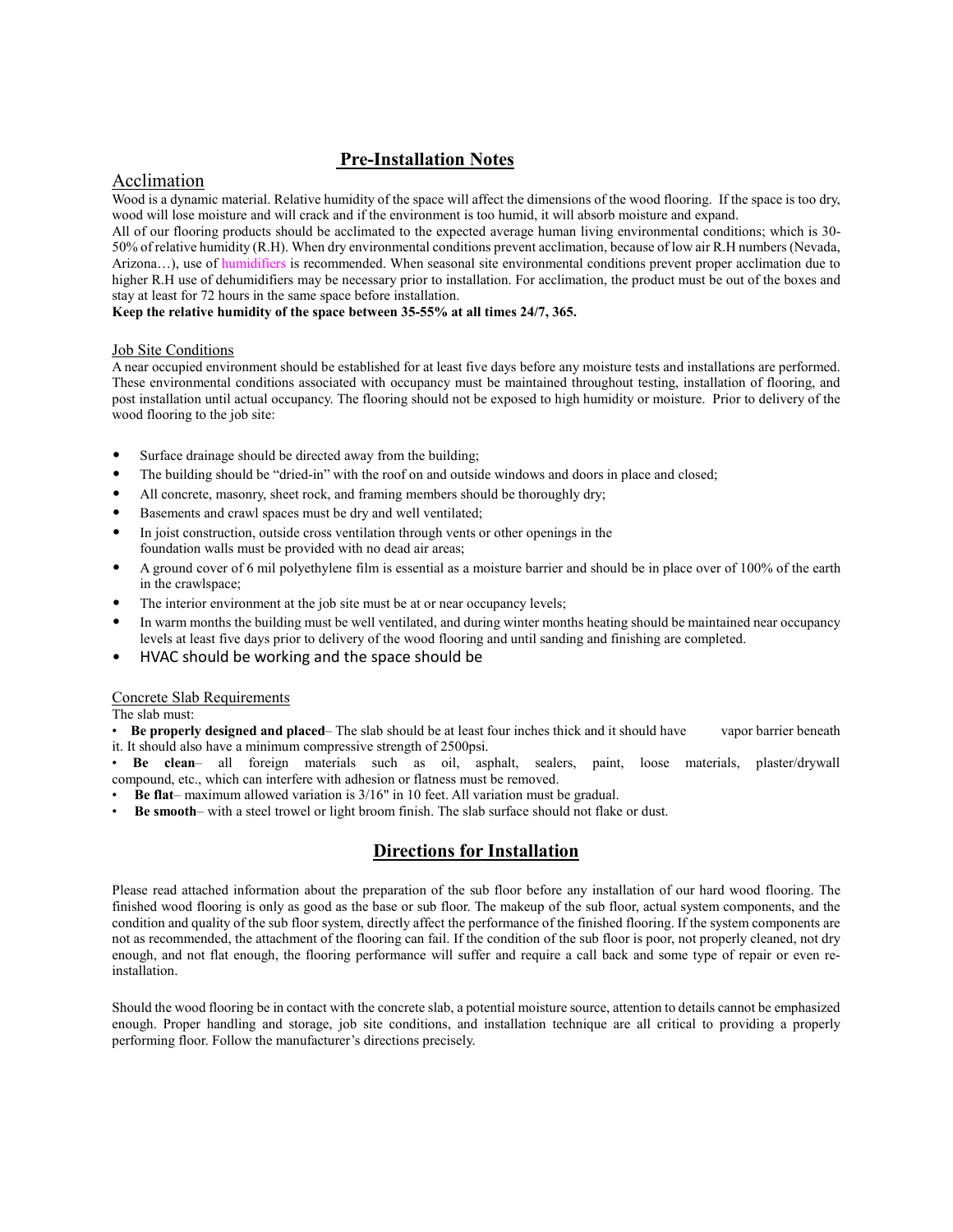### **Pre-Installation Notes**

#### Acclimation

Wood is a dynamic material. Relative humidity of the space will affect the dimensions of the wood flooring. If the space is too dry, wood will lose moisture and will crack and if the environment is too humid, it will absorb moisture and expand.

All of our flooring products should be acclimated to the expected average human living environmental conditions; which is 30- 50% of relative humidity (R.H). When dry environmental conditions prevent acclimation, because of low air R.H numbers (Nevada, Arizona...), use of humidifiers is recommended. When seasonal site environmental conditions prevent proper acclimation due to higher R.H use of dehumidifiers may be necessary prior to installation. For acclimation, the product must be out of the boxes and stay at least for 72 hours in the same space before installation.

#### **Keep the relative humidity of the space between 35-55% at all times 24/7, 365.**

#### Job Site Conditions

A near occupied environment should be established for at least five days before any moisture tests and installations are performed. These environmental conditions associated with occupancy must be maintained throughout testing, installation of flooring, and post installation until actual occupancy. The flooring should not be exposed to high humidity or moisture. Prior to delivery of the wood flooring to the job site:

- Surface drainage should be directed away from the building;
- The building should be "dried-in" with the roof on and outside windows and doors in place and closed;
- All concrete, masonry, sheet rock, and framing members should be thoroughly dry;
- Basements and crawl spaces must be dry and well ventilated;
- In joist construction, outside cross ventilation through vents or other openings in the foundation walls must be provided with no dead air areas;
- A ground cover of 6 mil polyethylene film is essential as a moisture barrier and should be in place over of 100% of the earth in the crawlspace;
- The interior environment at the job site must be at or near occupancy levels;
- In warm months the building must be well ventilated, and during winter months heating should be maintained near occupancy levels at least five days prior to delivery of the wood flooring and until sanding and finishing are completed.
- HVAC should be working and the space should be

#### Concrete Slab Requirements

The slab must:

- **Be properly designed and placed** The slab should be at least four inches thick and it should have vapor barrier beneath it. It should also have a minimum compressive strength of 2500psi.
- **Be clean** all foreign materials such as oil, asphalt, sealers, paint, loose materials, plaster/drywall compound, etc., which can interfere with adhesion or flatness must be removed.
- **Be flat** maximum allowed variation is 3/16" in 10 feet. All variation must be gradual.
- **Be smooth** with a steel trowel or light broom finish. The slab surface should not flake or dust.

### **Directions for Installation**

Please read attached information about the preparation of the sub floor before any installation of our hard wood flooring. The finished wood flooring is only as good as the base or sub floor. The makeup of the sub floor, actual system components, and the condition and quality of the sub floor system, directly affect the performance of the finished flooring. If the system components are not as recommended, the attachment of the flooring can fail. If the condition of the sub floor is poor, not properly cleaned, not dry enough, and not flat enough, the flooring performance will suffer and require a call back and some type of repair or even reinstallation.

Should the wood flooring be in contact with the concrete slab, a potential moisture source, attention to details cannot be emphasized enough. Proper handling and storage, job site conditions, and installation technique are all critical to providing a properly performing floor. Follow the manufacturer's directions precisely.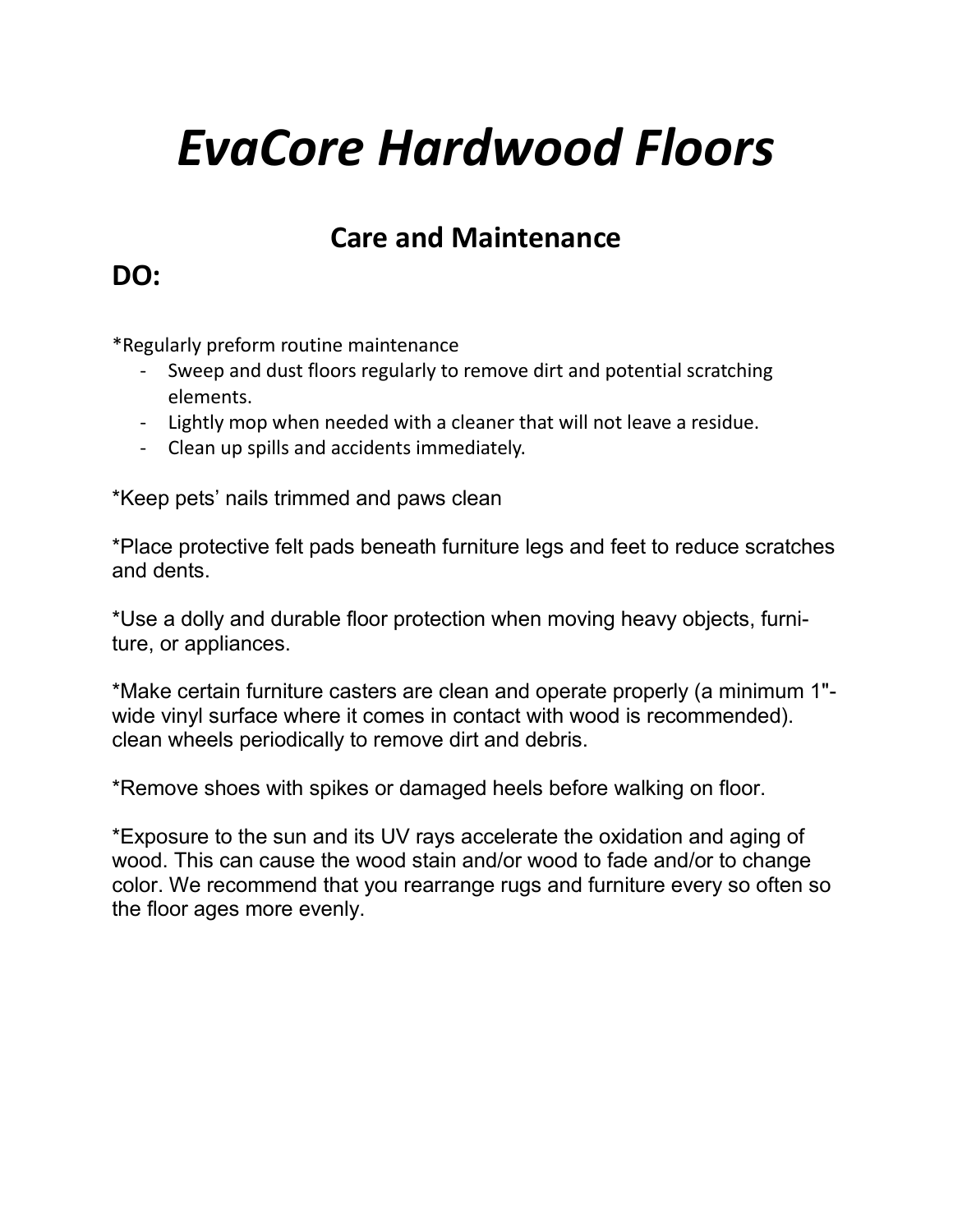# *EvaCore Hardwood Floors*

# **Care and Maintenance**

# **DO:**

\*Regularly preform routine maintenance

- Sweep and dust floors regularly to remove dirt and potential scratching elements.
- Lightly mop when needed with a cleaner that will not leave a residue.
- Clean up spills and accidents immediately.

\*Keep pets' nails trimmed and paws clean

\*Place protective felt pads beneath furniture legs and feet to reduce scratches and dents.

\*Use a dolly and durable floor protection when moving heavy objects, furniture, or appliances.

\*Make certain furniture casters are clean and operate properly (a minimum 1" wide vinyl surface where it comes in contact with wood is recommended). clean wheels periodically to remove dirt and debris.

\*Remove shoes with spikes or damaged heels before walking on floor.

\*Exposure to the sun and its UV rays accelerate the oxidation and aging of wood. This can cause the wood stain and/or wood to fade and/or to change color. We recommend that you rearrange rugs and furniture every so often so the floor ages more evenly.